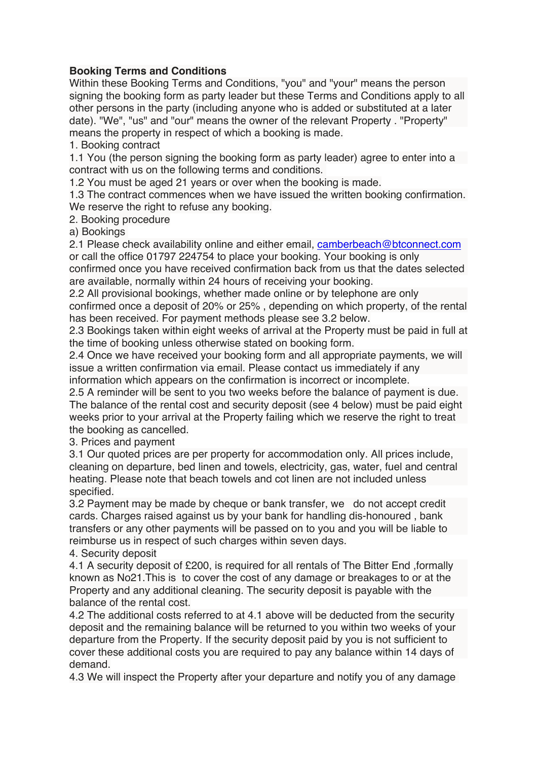## **Booking Terms and Conditions**

Within these Booking Terms and Conditions, "you" and "your" means the person signing the booking form as party leader but these Terms and Conditions apply to all other persons in the party (including anyone who is added or substituted at a later date). "We", "us" and "our" means the owner of the relevant Property . "Property" means the property in respect of which a booking is made.

1. Booking contract

1.1 You (the person signing the booking form as party leader) agree to enter into a contract with us on the following terms and conditions.

1.2 You must be aged 21 years or over when the booking is made.

1.3 The contract commences when we have issued the written booking confirmation. We reserve the right to refuse any booking.

2. Booking procedure

a) Bookings

2.1 Please check availability online and either email, [camberbeach@btconnect.com](mailto:camberbeach@btconnect.com) or call the office 01797 224754 to place your booking. Your booking is only

confirmed once you have received confirmation back from us that the dates selected are available, normally within 24 hours of receiving your booking.

2.2 All provisional bookings, whether made online or by telephone are only confirmed once a deposit of 20% or 25% , depending on which property, of the rental has been received. For payment methods please see 3.2 below.

2.3 Bookings taken within eight weeks of arrival at the Property must be paid in full at the time of booking unless otherwise stated on booking form.

2.4 Once we have received your booking form and all appropriate payments, we will issue a written confirmation via email. Please contact us immediately if any information which appears on the confirmation is incorrect or incomplete.

2.5 A reminder will be sent to you two weeks before the balance of payment is due. The balance of the rental cost and security deposit (see 4 below) must be paid eight weeks prior to your arrival at the Property failing which we reserve the right to treat the booking as cancelled.

3. Prices and payment

3.1 Our quoted prices are per property for accommodation only. All prices include, cleaning on departure, bed linen and towels, electricity, gas, water, fuel and central heating. Please note that beach towels and cot linen are not included unless specified.

3.2 Payment may be made by cheque or bank transfer, we do not accept credit cards. Charges raised against us by your bank for handling dis-honoured , bank transfers or any other payments will be passed on to you and you will be liable to reimburse us in respect of such charges within seven days.

4. Security deposit

4.1 A security deposit of £200, is required for all rentals of The Bitter End ,formally known as No21.This is to cover the cost of any damage or breakages to or at the Property and any additional cleaning. The security deposit is payable with the balance of the rental cost.

4.2 The additional costs referred to at 4.1 above will be deducted from the security deposit and the remaining balance will be returned to you within two weeks of your departure from the Property. If the security deposit paid by you is not sufficient to cover these additional costs you are required to pay any balance within 14 days of demand.

4.3 We will inspect the Property after your departure and notify you of any damage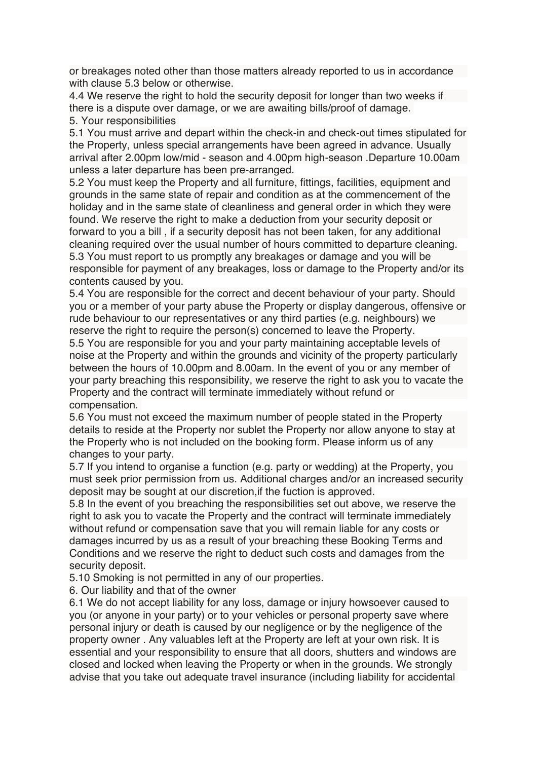or breakages noted other than those matters already reported to us in accordance with clause 5.3 below or otherwise.

4.4 We reserve the right to hold the security deposit for longer than two weeks if there is a dispute over damage, or we are awaiting bills/proof of damage. 5. Your responsibilities

5.1 You must arrive and depart within the check-in and check-out times stipulated for the Property, unless special arrangements have been agreed in advance. Usually arrival after 2.00pm low/mid - season and 4.00pm high-season .Departure 10.00am unless a later departure has been pre-arranged.

5.2 You must keep the Property and all furniture, fittings, facilities, equipment and grounds in the same state of repair and condition as at the commencement of the holiday and in the same state of cleanliness and general order in which they were found. We reserve the right to make a deduction from your security deposit or forward to you a bill , if a security deposit has not been taken, for any additional cleaning required over the usual number of hours committed to departure cleaning. 5.3 You must report to us promptly any breakages or damage and you will be responsible for payment of any breakages, loss or damage to the Property and/or its contents caused by you.

5.4 You are responsible for the correct and decent behaviour of your party. Should you or a member of your party abuse the Property or display dangerous, offensive or rude behaviour to our representatives or any third parties (e.g. neighbours) we reserve the right to require the person(s) concerned to leave the Property.

5.5 You are responsible for you and your party maintaining acceptable levels of noise at the Property and within the grounds and vicinity of the property particularly between the hours of 10.00pm and 8.00am. In the event of you or any member of your party breaching this responsibility, we reserve the right to ask you to vacate the Property and the contract will terminate immediately without refund or compensation.

5.6 You must not exceed the maximum number of people stated in the Property details to reside at the Property nor sublet the Property nor allow anyone to stay at the Property who is not included on the booking form. Please inform us of any changes to your party.

5.7 If you intend to organise a function (e.g. party or wedding) at the Property, you must seek prior permission from us. Additional charges and/or an increased security deposit may be sought at our discretion,if the fuction is approved.

5.8 In the event of you breaching the responsibilities set out above, we reserve the right to ask you to vacate the Property and the contract will terminate immediately without refund or compensation save that you will remain liable for any costs or damages incurred by us as a result of your breaching these Booking Terms and Conditions and we reserve the right to deduct such costs and damages from the security deposit.

5.10 Smoking is not permitted in any of our properties.

6. Our liability and that of the owner

6.1 We do not accept liability for any loss, damage or injury howsoever caused to you (or anyone in your party) or to your vehicles or personal property save where personal injury or death is caused by our negligence or by the negligence of the property owner . Any valuables left at the Property are left at your own risk. It is essential and your responsibility to ensure that all doors, shutters and windows are closed and locked when leaving the Property or when in the grounds. We strongly advise that you take out adequate travel insurance (including liability for accidental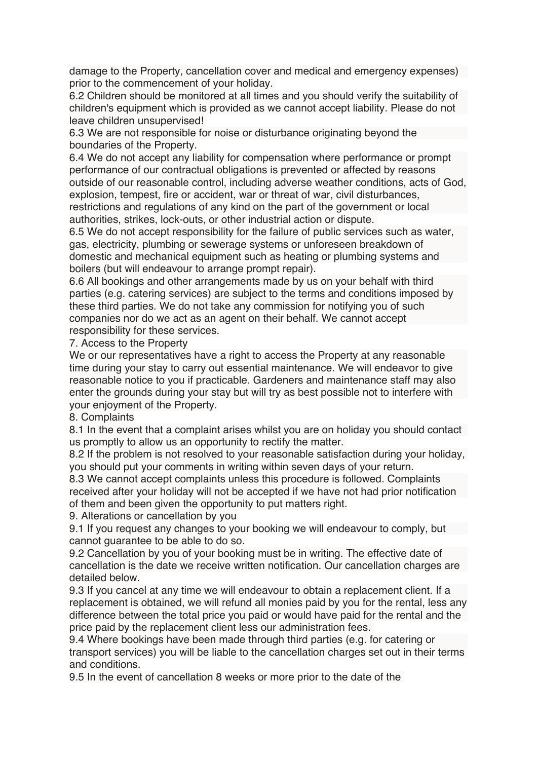damage to the Property, cancellation cover and medical and emergency expenses) prior to the commencement of your holiday.

6.2 Children should be monitored at all times and you should verify the suitability of children's equipment which is provided as we cannot accept liability. Please do not leave children unsupervised!

6.3 We are not responsible for noise or disturbance originating beyond the boundaries of the Property.

6.4 We do not accept any liability for compensation where performance or prompt performance of our contractual obligations is prevented or affected by reasons outside of our reasonable control, including adverse weather conditions, acts of God, explosion, tempest, fire or accident, war or threat of war, civil disturbances, restrictions and regulations of any kind on the part of the government or local authorities, strikes, lock-outs, or other industrial action or dispute.

6.5 We do not accept responsibility for the failure of public services such as water, gas, electricity, plumbing or sewerage systems or unforeseen breakdown of domestic and mechanical equipment such as heating or plumbing systems and boilers (but will endeavour to arrange prompt repair).

6.6 All bookings and other arrangements made by us on your behalf with third parties (e.g. catering services) are subject to the terms and conditions imposed by these third parties. We do not take any commission for notifying you of such companies nor do we act as an agent on their behalf. We cannot accept responsibility for these services.

7. Access to the Property

We or our representatives have a right to access the Property at any reasonable time during your stay to carry out essential maintenance. We will endeavor to give reasonable notice to you if practicable. Gardeners and maintenance staff may also enter the grounds during your stay but will try as best possible not to interfere with your enjoyment of the Property.

8. Complaints

8.1 In the event that a complaint arises whilst you are on holiday you should contact us promptly to allow us an opportunity to rectify the matter.

8.2 If the problem is not resolved to your reasonable satisfaction during your holiday, you should put your comments in writing within seven days of your return.

8.3 We cannot accept complaints unless this procedure is followed. Complaints received after your holiday will not be accepted if we have not had prior notification of them and been given the opportunity to put matters right.

9. Alterations or cancellation by you

9.1 If you request any changes to your booking we will endeavour to comply, but cannot guarantee to be able to do so.

9.2 Cancellation by you of your booking must be in writing. The effective date of cancellation is the date we receive written notification. Our cancellation charges are detailed below.

9.3 If you cancel at any time we will endeavour to obtain a replacement client. If a replacement is obtained, we will refund all monies paid by you for the rental, less any difference between the total price you paid or would have paid for the rental and the price paid by the replacement client less our administration fees.

9.4 Where bookings have been made through third parties (e.g. for catering or transport services) you will be liable to the cancellation charges set out in their terms and conditions.

9.5 In the event of cancellation 8 weeks or more prior to the date of the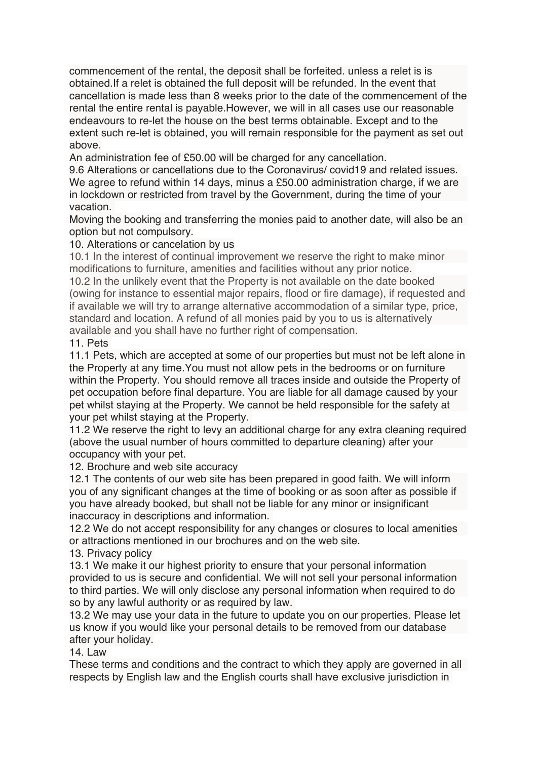commencement of the rental, the deposit shall be forfeited. unless a relet is is obtained.If a relet is obtained the full deposit will be refunded. In the event that cancellation is made less than 8 weeks prior to the date of the commencement of the rental the entire rental is payable.However, we will in all cases use our reasonable endeavours to re-let the house on the best terms obtainable. Except and to the extent such re-let is obtained, you will remain responsible for the payment as set out above.

An administration fee of £50.00 will be charged for any cancellation.

9.6 Alterations or cancellations due to the Coronavirus/ covid19 and related issues. We agree to refund within 14 days, minus a £50.00 administration charge, if we are in lockdown or restricted from travel by the Government, during the time of your vacation.

Moving the booking and transferring the monies paid to another date, will also be an option but not compulsory.

10. Alterations or cancelation by us

10.1 In the interest of continual improvement we reserve the right to make minor modifications to furniture, amenities and facilities without any prior notice.

10.2 In the unlikely event that the Property is not available on the date booked (owing for instance to essential major repairs, flood or fire damage), if requested and if available we will try to arrange alternative accommodation of a similar type, price, standard and location. A refund of all monies paid by you to us is alternatively available and you shall have no further right of compensation.

11. Pets

11.1 Pets, which are accepted at some of our properties but must not be left alone in the Property at any time.You must not allow pets in the bedrooms or on furniture within the Property. You should remove all traces inside and outside the Property of pet occupation before final departure. You are liable for all damage caused by your pet whilst staying at the Property. We cannot be held responsible for the safety at your pet whilst staying at the Property.

11.2 We reserve the right to levy an additional charge for any extra cleaning required (above the usual number of hours committed to departure cleaning) after your occupancy with your pet.

12. Brochure and web site accuracy

12.1 The contents of our web site has been prepared in good faith. We will inform you of any significant changes at the time of booking or as soon after as possible if you have already booked, but shall not be liable for any minor or insignificant inaccuracy in descriptions and information.

12.2 We do not accept responsibility for any changes or closures to local amenities or attractions mentioned in our brochures and on the web site.

13. Privacy policy

13.1 We make it our highest priority to ensure that your personal information provided to us is secure and confidential. We will not sell your personal information to third parties. We will only disclose any personal information when required to do so by any lawful authority or as required by law.

13.2 We may use your data in the future to update you on our properties. Please let us know if you would like your personal details to be removed from our database after your holiday.

 $14$  law

These terms and conditions and the contract to which they apply are governed in all respects by English law and the English courts shall have exclusive jurisdiction in